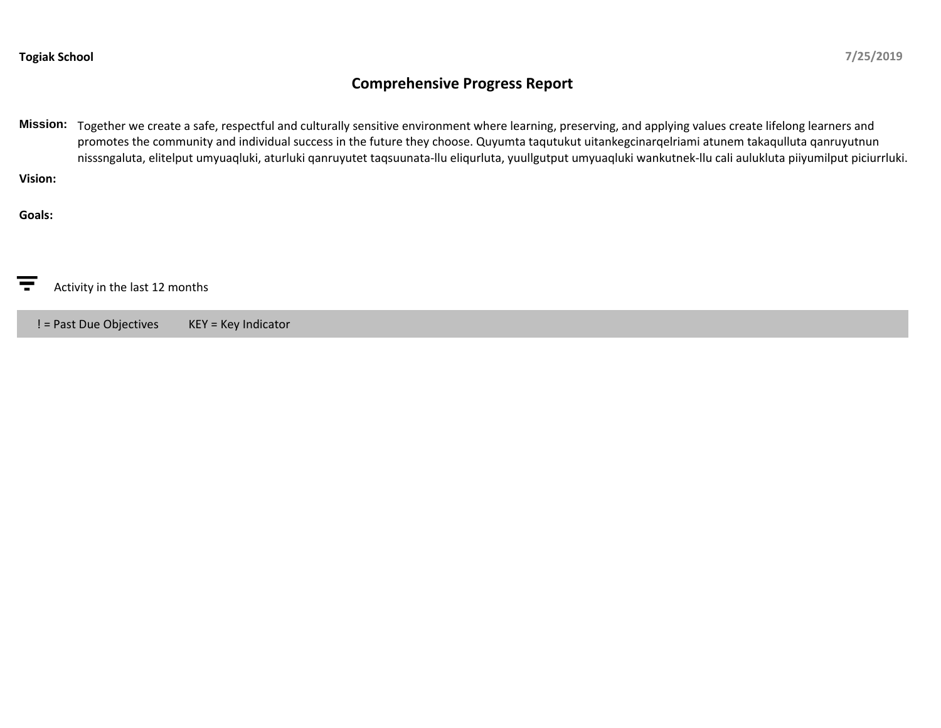## **Comprehensive Progress Report**

**Mission:** Together we create a safe, respectful and culturally sensitive environment where learning, preserving, and applying values create lifelong learners and promotes the community and individual success in the future they choose. Quyumta taqutukut uitankegcinarqelriami atunem takaqulluta qanruyutnun nisssngaluta, elitelput umyuaqluki, aturluki qanruyutet taqsuunata-llu eliqurluta, yuullgutput umyuaqluki wankutnek-llu cali aulukluta piiyumilput piciurrluki. **Vision:**

**Goals:**

ਵ Activity in the last 12 months

! = Past Due Objectives KEY = Key Indicator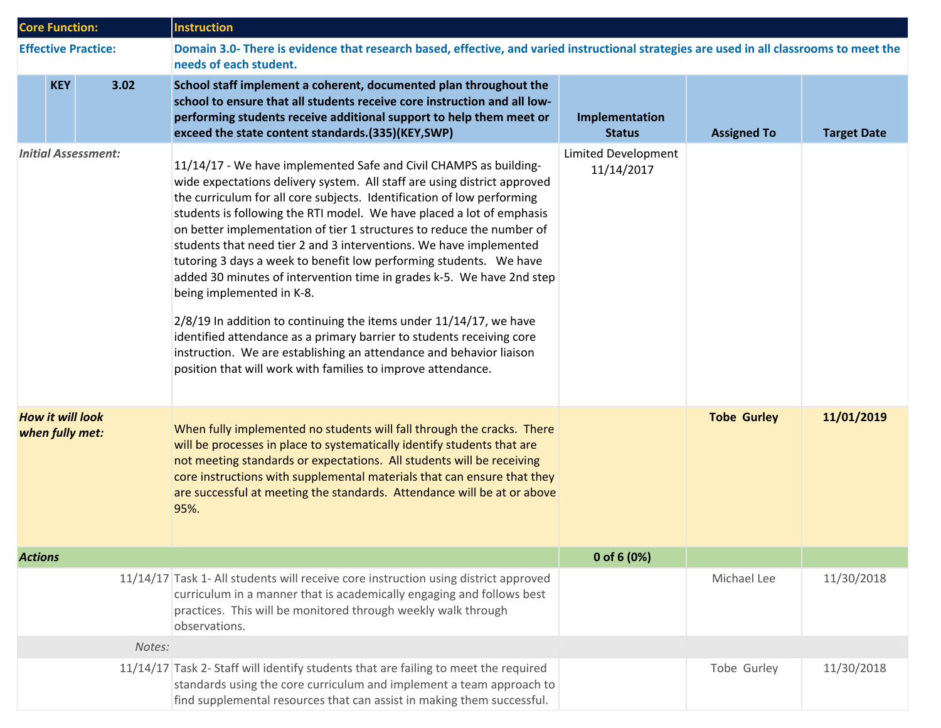| <b>Core Function:</b>                      |            |        | <b>Instruction</b>                                                                                                                                                                                                                                                                                                                                                                                                                                                                                                                                                                                                                                                                                                                                                                                                                                                                                                 |                                   |                    |                    |  |
|--------------------------------------------|------------|--------|--------------------------------------------------------------------------------------------------------------------------------------------------------------------------------------------------------------------------------------------------------------------------------------------------------------------------------------------------------------------------------------------------------------------------------------------------------------------------------------------------------------------------------------------------------------------------------------------------------------------------------------------------------------------------------------------------------------------------------------------------------------------------------------------------------------------------------------------------------------------------------------------------------------------|-----------------------------------|--------------------|--------------------|--|
| <b>Effective Practice:</b>                 |            |        | Domain 3.0- There is evidence that research based, effective, and varied instructional strategies are used in all classrooms to meet the<br>needs of each student.                                                                                                                                                                                                                                                                                                                                                                                                                                                                                                                                                                                                                                                                                                                                                 |                                   |                    |                    |  |
|                                            | <b>KEY</b> | 3.02   | School staff implement a coherent, documented plan throughout the<br>school to ensure that all students receive core instruction and all low-<br>performing students receive additional support to help them meet or<br>exceed the state content standards.(335)(KEY,SWP)                                                                                                                                                                                                                                                                                                                                                                                                                                                                                                                                                                                                                                          | Implementation<br><b>Status</b>   | <b>Assigned To</b> | <b>Target Date</b> |  |
| <b>Initial Assessment:</b>                 |            |        | 11/14/17 - We have implemented Safe and Civil CHAMPS as building-<br>wide expectations delivery system. All staff are using district approved<br>the curriculum for all core subjects. Identification of low performing<br>students is following the RTI model. We have placed a lot of emphasis<br>on better implementation of tier 1 structures to reduce the number of<br>students that need tier 2 and 3 interventions. We have implemented<br>tutoring 3 days a week to benefit low performing students.  We have<br>added 30 minutes of intervention time in grades k-5. We have 2nd step<br>being implemented in K-8.<br>2/8/19 In addition to continuing the items under 11/14/17, we have<br>identified attendance as a primary barrier to students receiving core<br>instruction. We are establishing an attendance and behavior liaison<br>position that will work with families to improve attendance. | Limited Development<br>11/14/2017 |                    |                    |  |
| <b>How it will look</b><br>when fully met: |            |        | When fully implemented no students will fall through the cracks. There<br>will be processes in place to systematically identify students that are<br>not meeting standards or expectations. All students will be receiving<br>core instructions with supplemental materials that can ensure that they<br>are successful at meeting the standards. Attendance will be at or above<br>95%.                                                                                                                                                                                                                                                                                                                                                                                                                                                                                                                           |                                   | <b>Tobe Gurley</b> | 11/01/2019         |  |
| <b>Actions</b>                             |            |        |                                                                                                                                                                                                                                                                                                                                                                                                                                                                                                                                                                                                                                                                                                                                                                                                                                                                                                                    | 0 of 6 $(0%)$                     |                    |                    |  |
|                                            |            |        | 11/14/17 Task 1- All students will receive core instruction using district approved<br>curriculum in a manner that is academically engaging and follows best<br>practices. This will be monitored through weekly walk through<br>observations.                                                                                                                                                                                                                                                                                                                                                                                                                                                                                                                                                                                                                                                                     |                                   | Michael Lee        | 11/30/2018         |  |
|                                            |            | Notes: |                                                                                                                                                                                                                                                                                                                                                                                                                                                                                                                                                                                                                                                                                                                                                                                                                                                                                                                    |                                   |                    |                    |  |
|                                            |            |        | 11/14/17 Task 2- Staff will identify students that are failing to meet the required<br>standards using the core curriculum and implement a team approach to<br>find supplemental resources that can assist in making them successful.                                                                                                                                                                                                                                                                                                                                                                                                                                                                                                                                                                                                                                                                              |                                   | Tobe Gurley        | 11/30/2018         |  |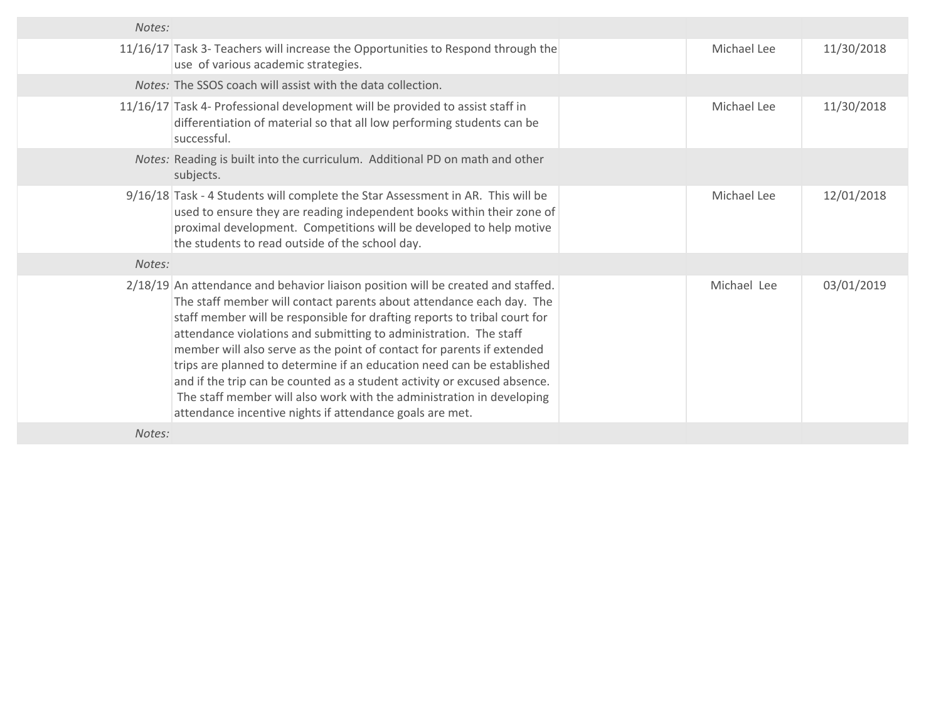| Notes: |                                                                                                                                                                                                                                                                                                                                                                                                                                                                                                                                                                                                                                                                                 |             |            |
|--------|---------------------------------------------------------------------------------------------------------------------------------------------------------------------------------------------------------------------------------------------------------------------------------------------------------------------------------------------------------------------------------------------------------------------------------------------------------------------------------------------------------------------------------------------------------------------------------------------------------------------------------------------------------------------------------|-------------|------------|
|        | 11/16/17 Task 3- Teachers will increase the Opportunities to Respond through the<br>use of various academic strategies.                                                                                                                                                                                                                                                                                                                                                                                                                                                                                                                                                         | Michael Lee | 11/30/2018 |
|        | Notes: The SSOS coach will assist with the data collection.                                                                                                                                                                                                                                                                                                                                                                                                                                                                                                                                                                                                                     |             |            |
|        | 11/16/17 Task 4- Professional development will be provided to assist staff in<br>differentiation of material so that all low performing students can be<br>successful.                                                                                                                                                                                                                                                                                                                                                                                                                                                                                                          | Michael Lee | 11/30/2018 |
|        | Notes: Reading is built into the curriculum. Additional PD on math and other<br>subjects.                                                                                                                                                                                                                                                                                                                                                                                                                                                                                                                                                                                       |             |            |
|        | 9/16/18 Task - 4 Students will complete the Star Assessment in AR. This will be<br>used to ensure they are reading independent books within their zone of<br>proximal development. Competitions will be developed to help motive<br>the students to read outside of the school day.                                                                                                                                                                                                                                                                                                                                                                                             | Michael Lee | 12/01/2018 |
| Notes: |                                                                                                                                                                                                                                                                                                                                                                                                                                                                                                                                                                                                                                                                                 |             |            |
|        | 2/18/19 An attendance and behavior liaison position will be created and staffed.<br>The staff member will contact parents about attendance each day. The<br>staff member will be responsible for drafting reports to tribal court for<br>attendance violations and submitting to administration. The staff<br>member will also serve as the point of contact for parents if extended<br>trips are planned to determine if an education need can be established<br>and if the trip can be counted as a student activity or excused absence.<br>The staff member will also work with the administration in developing<br>attendance incentive nights if attendance goals are met. | Michael Lee | 03/01/2019 |
| Notes: |                                                                                                                                                                                                                                                                                                                                                                                                                                                                                                                                                                                                                                                                                 |             |            |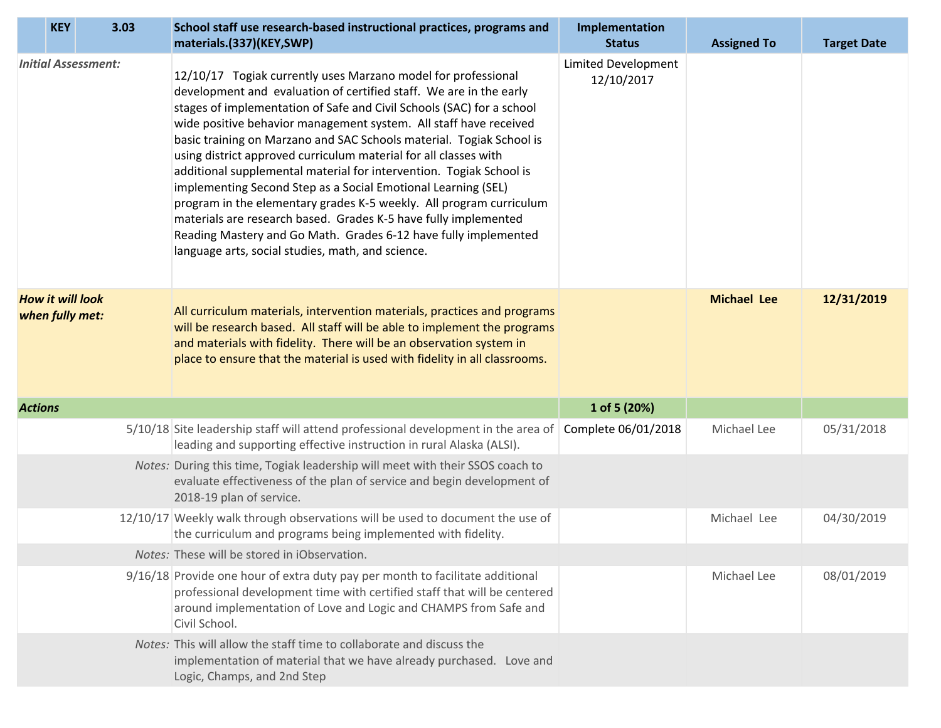| 3.03<br><b>KEY</b>                         | School staff use research-based instructional practices, programs and<br>materials.(337)(KEY,SWP)                                                                                                                                                                                                                                                                                                                                                                                                                                                                                                                                                                                                                                                                                                                                       | Implementation<br><b>Status</b>          | <b>Assigned To</b> | <b>Target Date</b> |
|--------------------------------------------|-----------------------------------------------------------------------------------------------------------------------------------------------------------------------------------------------------------------------------------------------------------------------------------------------------------------------------------------------------------------------------------------------------------------------------------------------------------------------------------------------------------------------------------------------------------------------------------------------------------------------------------------------------------------------------------------------------------------------------------------------------------------------------------------------------------------------------------------|------------------------------------------|--------------------|--------------------|
| <b>Initial Assessment:</b>                 | 12/10/17 Togiak currently uses Marzano model for professional<br>development and evaluation of certified staff. We are in the early<br>stages of implementation of Safe and Civil Schools (SAC) for a school<br>wide positive behavior management system. All staff have received<br>basic training on Marzano and SAC Schools material. Togiak School is<br>using district approved curriculum material for all classes with<br>additional supplemental material for intervention. Togiak School is<br>implementing Second Step as a Social Emotional Learning (SEL)<br>program in the elementary grades K-5 weekly. All program curriculum<br>materials are research based. Grades K-5 have fully implemented<br>Reading Mastery and Go Math. Grades 6-12 have fully implemented<br>language arts, social studies, math, and science. | <b>Limited Development</b><br>12/10/2017 |                    |                    |
| <b>How it will look</b><br>when fully met: | All curriculum materials, intervention materials, practices and programs<br>will be research based. All staff will be able to implement the programs<br>and materials with fidelity. There will be an observation system in<br>place to ensure that the material is used with fidelity in all classrooms.                                                                                                                                                                                                                                                                                                                                                                                                                                                                                                                               |                                          | <b>Michael Lee</b> | 12/31/2019         |
| <b>Actions</b>                             |                                                                                                                                                                                                                                                                                                                                                                                                                                                                                                                                                                                                                                                                                                                                                                                                                                         | 1 of 5 (20%)                             |                    |                    |
|                                            | 5/10/18 Site leadership staff will attend professional development in the area of Complete 06/01/2018<br>leading and supporting effective instruction in rural Alaska (ALSI).                                                                                                                                                                                                                                                                                                                                                                                                                                                                                                                                                                                                                                                           |                                          | Michael Lee        | 05/31/2018         |
|                                            | Notes: During this time, Togiak leadership will meet with their SSOS coach to<br>evaluate effectiveness of the plan of service and begin development of<br>2018-19 plan of service.                                                                                                                                                                                                                                                                                                                                                                                                                                                                                                                                                                                                                                                     |                                          |                    |                    |
|                                            | 12/10/17 Weekly walk through observations will be used to document the use of<br>the curriculum and programs being implemented with fidelity.                                                                                                                                                                                                                                                                                                                                                                                                                                                                                                                                                                                                                                                                                           |                                          | Michael Lee        | 04/30/2019         |
|                                            | Notes: These will be stored in iObservation.                                                                                                                                                                                                                                                                                                                                                                                                                                                                                                                                                                                                                                                                                                                                                                                            |                                          |                    |                    |
|                                            | 9/16/18 Provide one hour of extra duty pay per month to facilitate additional<br>professional development time with certified staff that will be centered<br>around implementation of Love and Logic and CHAMPS from Safe and<br>Civil School.                                                                                                                                                                                                                                                                                                                                                                                                                                                                                                                                                                                          |                                          | Michael Lee        | 08/01/2019         |
|                                            | Notes: This will allow the staff time to collaborate and discuss the<br>implementation of material that we have already purchased. Love and<br>Logic, Champs, and 2nd Step                                                                                                                                                                                                                                                                                                                                                                                                                                                                                                                                                                                                                                                              |                                          |                    |                    |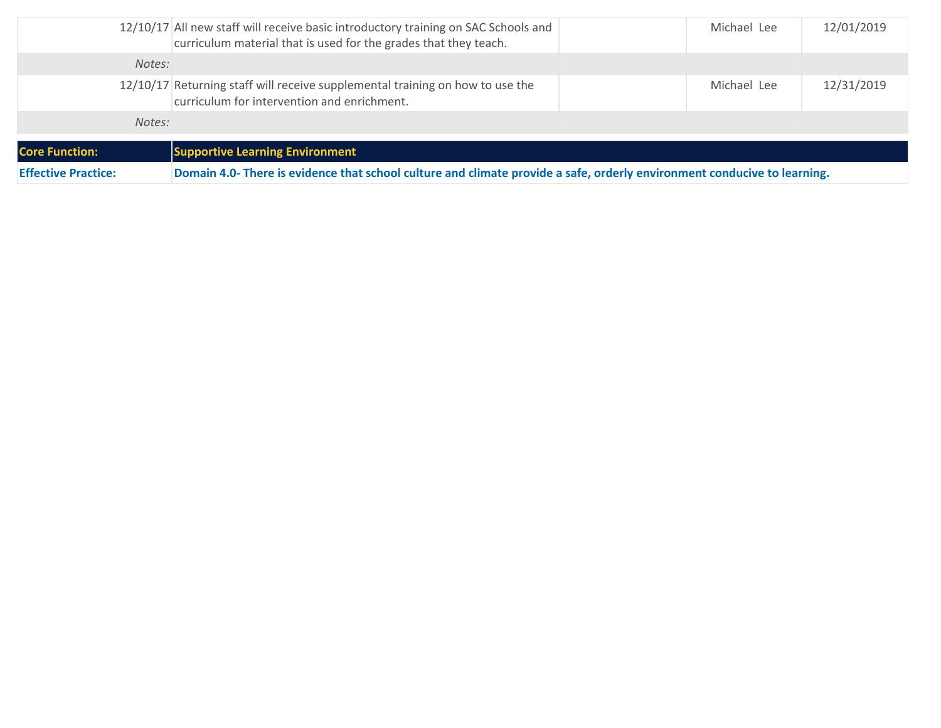| Domain 4.0- There is evidence that school culture and climate provide a safe, orderly environment conducive to learning.<br><b>Effective Practice:</b> |                                                                                                                                                        |  |             |            |
|--------------------------------------------------------------------------------------------------------------------------------------------------------|--------------------------------------------------------------------------------------------------------------------------------------------------------|--|-------------|------------|
| <b>Core Function:</b>                                                                                                                                  | <b>Supportive Learning Environment</b>                                                                                                                 |  |             |            |
|                                                                                                                                                        | Notes:                                                                                                                                                 |  |             |            |
|                                                                                                                                                        | 12/10/17 Returning staff will receive supplemental training on how to use the<br>curriculum for intervention and enrichment.                           |  | Michael Lee | 12/31/2019 |
|                                                                                                                                                        | Notes:                                                                                                                                                 |  |             |            |
|                                                                                                                                                        | 12/10/17 All new staff will receive basic introductory training on SAC Schools and<br>curriculum material that is used for the grades that they teach. |  | Michael Lee | 12/01/2019 |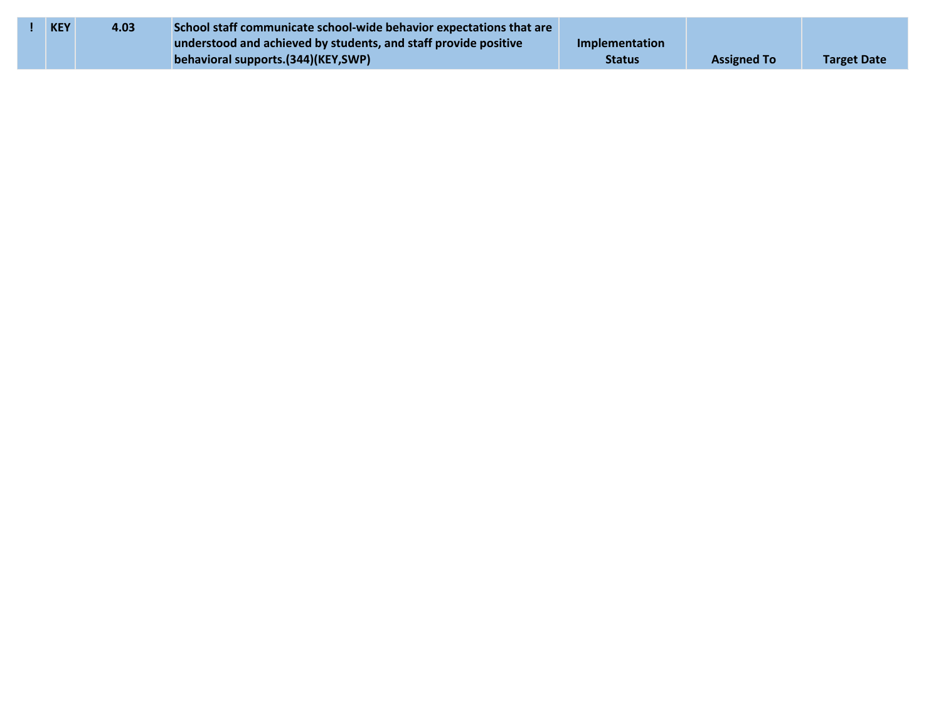| <b>KEY</b> | 4.03 | School staff communicate school-wide behavior expectations that are |                       |                    |                    |
|------------|------|---------------------------------------------------------------------|-----------------------|--------------------|--------------------|
|            |      | understood and achieved by students, and staff provide positive     | <b>Implementation</b> |                    |                    |
|            |      | behavioral supports.(344)(KEY,SWP)                                  | <b>Status</b>         | <b>Assigned To</b> | <b>Target Date</b> |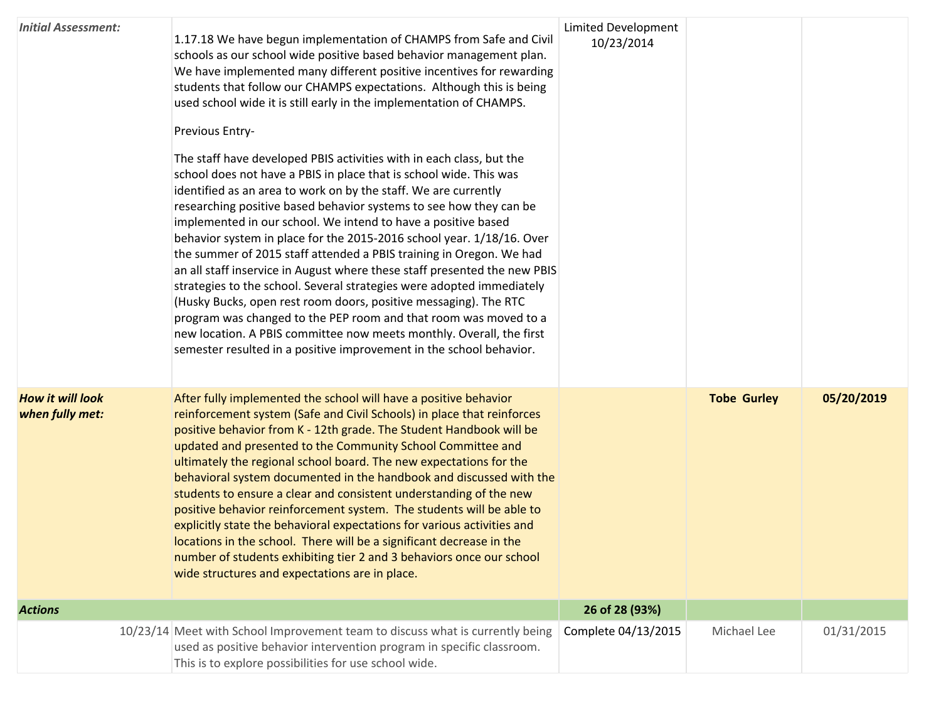| <b>Initial Assessment:</b>                 | 1.17.18 We have begun implementation of CHAMPS from Safe and Civil<br>schools as our school wide positive based behavior management plan.<br>We have implemented many different positive incentives for rewarding<br>students that follow our CHAMPS expectations. Although this is being<br>used school wide it is still early in the implementation of CHAMPS.<br>Previous Entry-<br>The staff have developed PBIS activities with in each class, but the<br>school does not have a PBIS in place that is school wide. This was<br>identified as an area to work on by the staff. We are currently<br>researching positive based behavior systems to see how they can be<br>implemented in our school. We intend to have a positive based<br>behavior system in place for the 2015-2016 school year. 1/18/16. Over<br>the summer of 2015 staff attended a PBIS training in Oregon. We had<br>an all staff inservice in August where these staff presented the new PBIS<br>strategies to the school. Several strategies were adopted immediately<br>(Husky Bucks, open rest room doors, positive messaging). The RTC<br>program was changed to the PEP room and that room was moved to a<br>new location. A PBIS committee now meets monthly. Overall, the first<br>semester resulted in a positive improvement in the school behavior. | <b>Limited Development</b><br>10/23/2014 |                    |            |
|--------------------------------------------|------------------------------------------------------------------------------------------------------------------------------------------------------------------------------------------------------------------------------------------------------------------------------------------------------------------------------------------------------------------------------------------------------------------------------------------------------------------------------------------------------------------------------------------------------------------------------------------------------------------------------------------------------------------------------------------------------------------------------------------------------------------------------------------------------------------------------------------------------------------------------------------------------------------------------------------------------------------------------------------------------------------------------------------------------------------------------------------------------------------------------------------------------------------------------------------------------------------------------------------------------------------------------------------------------------------------------------------|------------------------------------------|--------------------|------------|
| <b>How it will look</b><br>when fully met: | After fully implemented the school will have a positive behavior<br>reinforcement system (Safe and Civil Schools) in place that reinforces<br>positive behavior from K - 12th grade. The Student Handbook will be<br>updated and presented to the Community School Committee and<br>ultimately the regional school board. The new expectations for the<br>behavioral system documented in the handbook and discussed with the<br>students to ensure a clear and consistent understanding of the new<br>positive behavior reinforcement system. The students will be able to<br>explicitly state the behavioral expectations for various activities and<br>locations in the school. There will be a significant decrease in the<br>number of students exhibiting tier 2 and 3 behaviors once our school<br>wide structures and expectations are in place.                                                                                                                                                                                                                                                                                                                                                                                                                                                                                 |                                          | <b>Tobe Gurley</b> | 05/20/2019 |
| <b>Actions</b>                             |                                                                                                                                                                                                                                                                                                                                                                                                                                                                                                                                                                                                                                                                                                                                                                                                                                                                                                                                                                                                                                                                                                                                                                                                                                                                                                                                          | 26 of 28 (93%)                           |                    |            |
|                                            | 10/23/14 Meet with School Improvement team to discuss what is currently being<br>used as positive behavior intervention program in specific classroom.<br>This is to explore possibilities for use school wide.                                                                                                                                                                                                                                                                                                                                                                                                                                                                                                                                                                                                                                                                                                                                                                                                                                                                                                                                                                                                                                                                                                                          | Complete 04/13/2015                      | Michael Lee        | 01/31/2015 |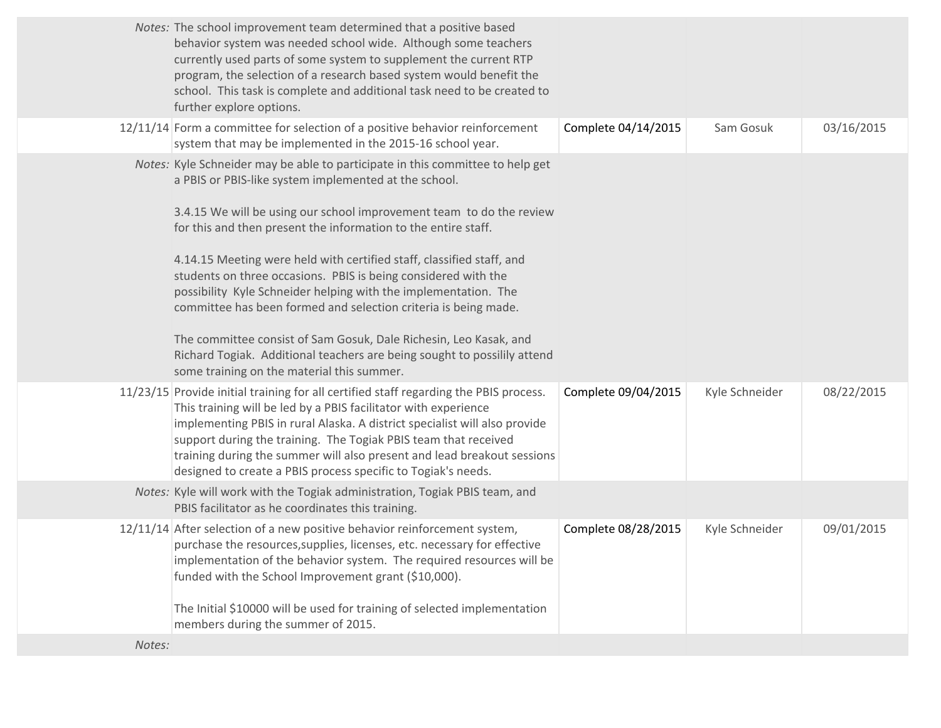|        | Notes: The school improvement team determined that a positive based<br>behavior system was needed school wide. Although some teachers<br>currently used parts of some system to supplement the current RTP<br>program, the selection of a research based system would benefit the<br>school. This task is complete and additional task need to be created to<br>further explore options.                                                                                                                                                                                                                                                                                                                                                                          |                     |                |            |
|--------|-------------------------------------------------------------------------------------------------------------------------------------------------------------------------------------------------------------------------------------------------------------------------------------------------------------------------------------------------------------------------------------------------------------------------------------------------------------------------------------------------------------------------------------------------------------------------------------------------------------------------------------------------------------------------------------------------------------------------------------------------------------------|---------------------|----------------|------------|
|        | 12/11/14 Form a committee for selection of a positive behavior reinforcement<br>system that may be implemented in the 2015-16 school year.                                                                                                                                                                                                                                                                                                                                                                                                                                                                                                                                                                                                                        | Complete 04/14/2015 | Sam Gosuk      | 03/16/2015 |
|        | Notes: Kyle Schneider may be able to participate in this committee to help get<br>a PBIS or PBIS-like system implemented at the school.<br>3.4.15 We will be using our school improvement team to do the review<br>for this and then present the information to the entire staff.<br>4.14.15 Meeting were held with certified staff, classified staff, and<br>students on three occasions. PBIS is being considered with the<br>possibility Kyle Schneider helping with the implementation. The<br>committee has been formed and selection criteria is being made.<br>The committee consist of Sam Gosuk, Dale Richesin, Leo Kasak, and<br>Richard Togiak. Additional teachers are being sought to possilily attend<br>some training on the material this summer. |                     |                |            |
|        | 11/23/15 Provide initial training for all certified staff regarding the PBIS process.<br>This training will be led by a PBIS facilitator with experience<br>implementing PBIS in rural Alaska. A district specialist will also provide<br>support during the training. The Togiak PBIS team that received<br>training during the summer will also present and lead breakout sessions<br>designed to create a PBIS process specific to Togiak's needs.                                                                                                                                                                                                                                                                                                             | Complete 09/04/2015 | Kyle Schneider | 08/22/2015 |
|        | Notes: Kyle will work with the Togiak administration, Togiak PBIS team, and<br>PBIS facilitator as he coordinates this training.                                                                                                                                                                                                                                                                                                                                                                                                                                                                                                                                                                                                                                  |                     |                |            |
|        | 12/11/14 After selection of a new positive behavior reinforcement system,<br>purchase the resources, supplies, licenses, etc. necessary for effective<br>implementation of the behavior system. The required resources will be<br>funded with the School Improvement grant (\$10,000).<br>The Initial \$10000 will be used for training of selected implementation<br>members during the summer of 2015.                                                                                                                                                                                                                                                                                                                                                          | Complete 08/28/2015 | Kyle Schneider | 09/01/2015 |
| Notes: |                                                                                                                                                                                                                                                                                                                                                                                                                                                                                                                                                                                                                                                                                                                                                                   |                     |                |            |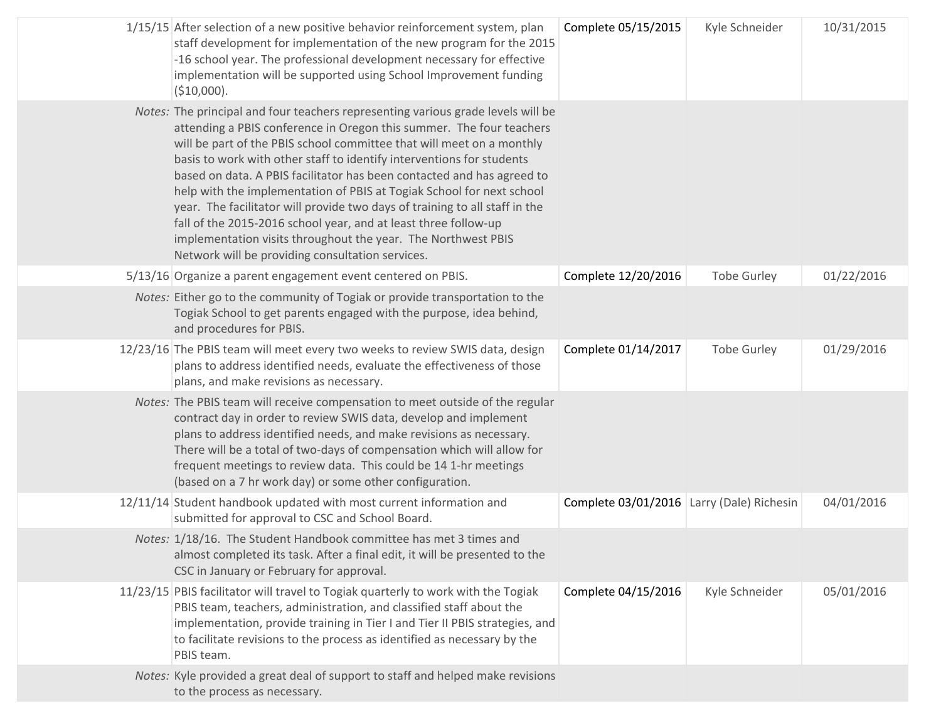| 1/15/15 After selection of a new positive behavior reinforcement system, plan<br>staff development for implementation of the new program for the 2015<br>-16 school year. The professional development necessary for effective<br>implementation will be supported using School Improvement funding<br>(\$10,000).                                                                                                                                                                                                                                                                                                                                                                                                                   | Complete 05/15/2015                       | Kyle Schneider     | 10/31/2015 |
|--------------------------------------------------------------------------------------------------------------------------------------------------------------------------------------------------------------------------------------------------------------------------------------------------------------------------------------------------------------------------------------------------------------------------------------------------------------------------------------------------------------------------------------------------------------------------------------------------------------------------------------------------------------------------------------------------------------------------------------|-------------------------------------------|--------------------|------------|
| Notes: The principal and four teachers representing various grade levels will be<br>attending a PBIS conference in Oregon this summer. The four teachers<br>will be part of the PBIS school committee that will meet on a monthly<br>basis to work with other staff to identify interventions for students<br>based on data. A PBIS facilitator has been contacted and has agreed to<br>help with the implementation of PBIS at Togiak School for next school<br>year. The facilitator will provide two days of training to all staff in the<br>fall of the 2015-2016 school year, and at least three follow-up<br>implementation visits throughout the year. The Northwest PBIS<br>Network will be providing consultation services. |                                           |                    |            |
| 5/13/16 Organize a parent engagement event centered on PBIS.                                                                                                                                                                                                                                                                                                                                                                                                                                                                                                                                                                                                                                                                         | Complete 12/20/2016                       | <b>Tobe Gurley</b> | 01/22/2016 |
| Notes: Either go to the community of Togiak or provide transportation to the<br>Togiak School to get parents engaged with the purpose, idea behind,<br>and procedures for PBIS.                                                                                                                                                                                                                                                                                                                                                                                                                                                                                                                                                      |                                           |                    |            |
| 12/23/16 The PBIS team will meet every two weeks to review SWIS data, design<br>plans to address identified needs, evaluate the effectiveness of those<br>plans, and make revisions as necessary.                                                                                                                                                                                                                                                                                                                                                                                                                                                                                                                                    | Complete 01/14/2017                       | <b>Tobe Gurley</b> | 01/29/2016 |
| Notes: The PBIS team will receive compensation to meet outside of the regular<br>contract day in order to review SWIS data, develop and implement<br>plans to address identified needs, and make revisions as necessary.<br>There will be a total of two-days of compensation which will allow for<br>frequent meetings to review data. This could be 14 1-hr meetings<br>(based on a 7 hr work day) or some other configuration.                                                                                                                                                                                                                                                                                                    |                                           |                    |            |
| 12/11/14 Student handbook updated with most current information and<br>submitted for approval to CSC and School Board.                                                                                                                                                                                                                                                                                                                                                                                                                                                                                                                                                                                                               | Complete 03/01/2016 Larry (Dale) Richesin |                    | 04/01/2016 |
| Notes: 1/18/16. The Student Handbook committee has met 3 times and<br>almost completed its task. After a final edit, it will be presented to the<br>CSC in January or February for approval.                                                                                                                                                                                                                                                                                                                                                                                                                                                                                                                                         |                                           |                    |            |
| 11/23/15 PBIS facilitator will travel to Togiak quarterly to work with the Togiak<br>PBIS team, teachers, administration, and classified staff about the<br>implementation, provide training in Tier I and Tier II PBIS strategies, and<br>to facilitate revisions to the process as identified as necessary by the<br>PBIS team.                                                                                                                                                                                                                                                                                                                                                                                                    | Complete 04/15/2016                       | Kyle Schneider     | 05/01/2016 |
| Notes: Kyle provided a great deal of support to staff and helped make revisions<br>to the process as necessary.                                                                                                                                                                                                                                                                                                                                                                                                                                                                                                                                                                                                                      |                                           |                    |            |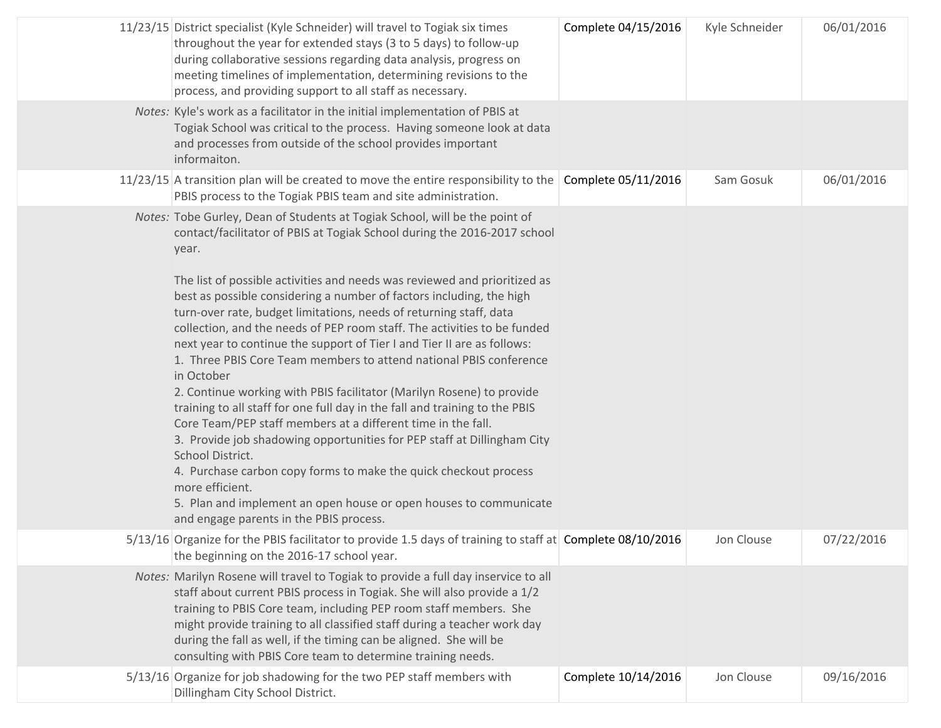| 11/23/15 District specialist (Kyle Schneider) will travel to Togiak six times<br>throughout the year for extended stays (3 to 5 days) to follow-up<br>during collaborative sessions regarding data analysis, progress on<br>meeting timelines of implementation, determining revisions to the<br>process, and providing support to all staff as necessary.                                                                                                                                                                                                                                                                                                                                                                                                                                                                                                                                                                                                                                                                                                                                                                                                           | Complete 04/15/2016 | Kyle Schneider | 06/01/2016 |
|----------------------------------------------------------------------------------------------------------------------------------------------------------------------------------------------------------------------------------------------------------------------------------------------------------------------------------------------------------------------------------------------------------------------------------------------------------------------------------------------------------------------------------------------------------------------------------------------------------------------------------------------------------------------------------------------------------------------------------------------------------------------------------------------------------------------------------------------------------------------------------------------------------------------------------------------------------------------------------------------------------------------------------------------------------------------------------------------------------------------------------------------------------------------|---------------------|----------------|------------|
| Notes: Kyle's work as a facilitator in the initial implementation of PBIS at<br>Togiak School was critical to the process. Having someone look at data<br>and processes from outside of the school provides important<br>informaiton.                                                                                                                                                                                                                                                                                                                                                                                                                                                                                                                                                                                                                                                                                                                                                                                                                                                                                                                                |                     |                |            |
| 11/23/15 A transition plan will be created to move the entire responsibility to the Complete 05/11/2016<br>PBIS process to the Togiak PBIS team and site administration.                                                                                                                                                                                                                                                                                                                                                                                                                                                                                                                                                                                                                                                                                                                                                                                                                                                                                                                                                                                             |                     | Sam Gosuk      | 06/01/2016 |
| Notes: Tobe Gurley, Dean of Students at Togiak School, will be the point of<br>contact/facilitator of PBIS at Togiak School during the 2016-2017 school<br>year.<br>The list of possible activities and needs was reviewed and prioritized as<br>best as possible considering a number of factors including, the high<br>turn-over rate, budget limitations, needs of returning staff, data<br>collection, and the needs of PEP room staff. The activities to be funded<br>next year to continue the support of Tier I and Tier II are as follows:<br>1. Three PBIS Core Team members to attend national PBIS conference<br>in October<br>2. Continue working with PBIS facilitator (Marilyn Rosene) to provide<br>training to all staff for one full day in the fall and training to the PBIS<br>Core Team/PEP staff members at a different time in the fall.<br>3. Provide job shadowing opportunities for PEP staff at Dillingham City<br>School District.<br>4. Purchase carbon copy forms to make the quick checkout process<br>more efficient.<br>5. Plan and implement an open house or open houses to communicate<br>and engage parents in the PBIS process. |                     |                |            |
| 5/13/16 Organize for the PBIS facilitator to provide 1.5 days of training to staff at Complete 08/10/2016<br>the beginning on the 2016-17 school year.                                                                                                                                                                                                                                                                                                                                                                                                                                                                                                                                                                                                                                                                                                                                                                                                                                                                                                                                                                                                               |                     | Jon Clouse     | 07/22/2016 |
| Notes: Marilyn Rosene will travel to Togiak to provide a full day inservice to all<br>staff about current PBIS process in Togiak. She will also provide a 1/2<br>training to PBIS Core team, including PEP room staff members. She<br>might provide training to all classified staff during a teacher work day<br>during the fall as well, if the timing can be aligned. She will be<br>consulting with PBIS Core team to determine training needs.                                                                                                                                                                                                                                                                                                                                                                                                                                                                                                                                                                                                                                                                                                                  |                     |                |            |
| 5/13/16 Organize for job shadowing for the two PEP staff members with<br>Dillingham City School District.                                                                                                                                                                                                                                                                                                                                                                                                                                                                                                                                                                                                                                                                                                                                                                                                                                                                                                                                                                                                                                                            | Complete 10/14/2016 | Jon Clouse     | 09/16/2016 |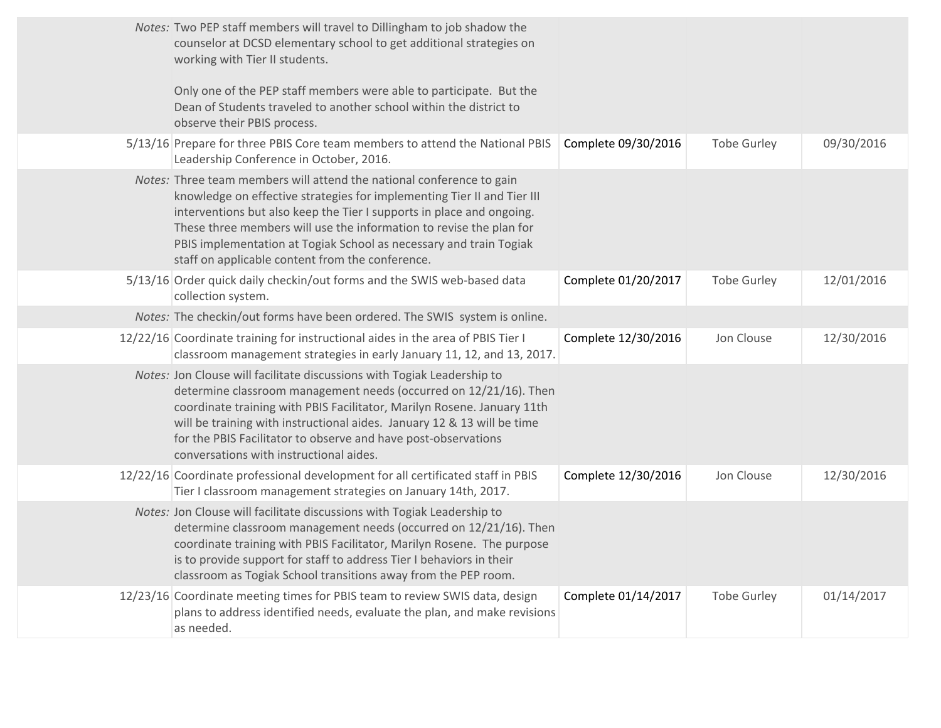| Notes: Two PEP staff members will travel to Dillingham to job shadow the<br>counselor at DCSD elementary school to get additional strategies on<br>working with Tier II students.<br>Only one of the PEP staff members were able to participate. But the<br>Dean of Students traveled to another school within the district to<br>observe their PBIS process.                                                              |                     |                    |            |
|----------------------------------------------------------------------------------------------------------------------------------------------------------------------------------------------------------------------------------------------------------------------------------------------------------------------------------------------------------------------------------------------------------------------------|---------------------|--------------------|------------|
| 5/13/16 Prepare for three PBIS Core team members to attend the National PBIS<br>Leadership Conference in October, 2016.                                                                                                                                                                                                                                                                                                    | Complete 09/30/2016 | <b>Tobe Gurley</b> | 09/30/2016 |
| Notes: Three team members will attend the national conference to gain<br>knowledge on effective strategies for implementing Tier II and Tier III<br>interventions but also keep the Tier I supports in place and ongoing.<br>These three members will use the information to revise the plan for<br>PBIS implementation at Togiak School as necessary and train Togiak<br>staff on applicable content from the conference. |                     |                    |            |
| 5/13/16 Order quick daily checkin/out forms and the SWIS web-based data<br>collection system.                                                                                                                                                                                                                                                                                                                              | Complete 01/20/2017 | <b>Tobe Gurley</b> | 12/01/2016 |
| Notes: The checkin/out forms have been ordered. The SWIS system is online.                                                                                                                                                                                                                                                                                                                                                 |                     |                    |            |
| 12/22/16 Coordinate training for instructional aides in the area of PBIS Tier I<br>classroom management strategies in early January 11, 12, and 13, 2017.                                                                                                                                                                                                                                                                  | Complete 12/30/2016 | Jon Clouse         | 12/30/2016 |
| Notes: Jon Clouse will facilitate discussions with Togiak Leadership to<br>determine classroom management needs (occurred on 12/21/16). Then<br>coordinate training with PBIS Facilitator, Marilyn Rosene. January 11th<br>will be training with instructional aides. January 12 & 13 will be time<br>for the PBIS Facilitator to observe and have post-observations<br>conversations with instructional aides.            |                     |                    |            |
| 12/22/16 Coordinate professional development for all certificated staff in PBIS<br>Tier I classroom management strategies on January 14th, 2017.                                                                                                                                                                                                                                                                           | Complete 12/30/2016 | Jon Clouse         | 12/30/2016 |
| Notes: Jon Clouse will facilitate discussions with Togiak Leadership to<br>determine classroom management needs (occurred on 12/21/16). Then<br>coordinate training with PBIS Facilitator, Marilyn Rosene. The purpose<br>is to provide support for staff to address Tier I behaviors in their<br>classroom as Togiak School transitions away from the PEP room.                                                           |                     |                    |            |
| 12/23/16 Coordinate meeting times for PBIS team to review SWIS data, design<br>plans to address identified needs, evaluate the plan, and make revisions<br>as needed.                                                                                                                                                                                                                                                      | Complete 01/14/2017 | <b>Tobe Gurley</b> | 01/14/2017 |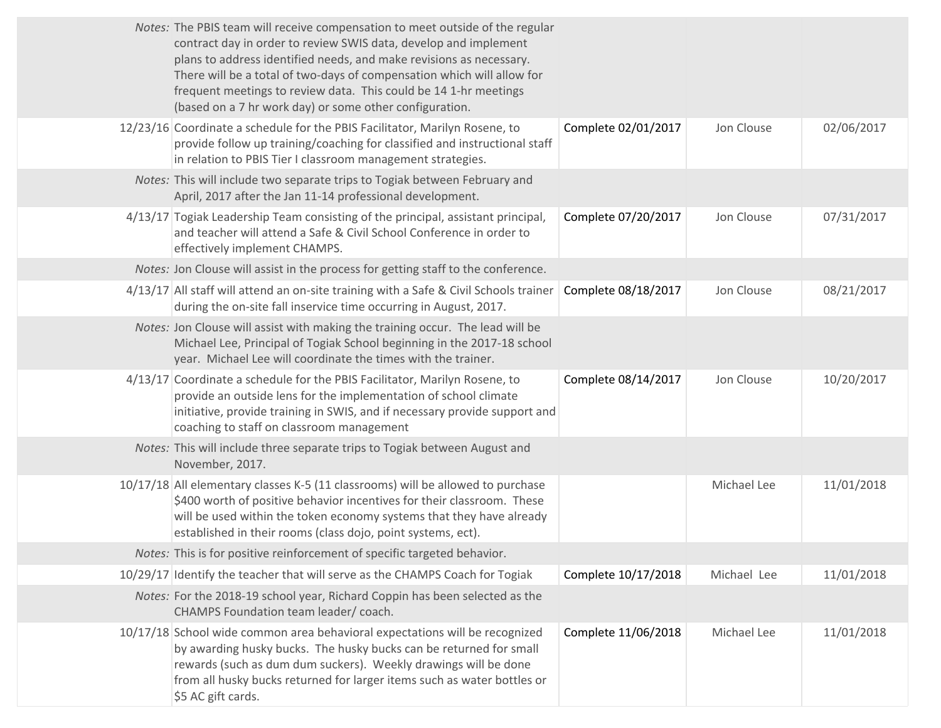| Notes: The PBIS team will receive compensation to meet outside of the regular<br>contract day in order to review SWIS data, develop and implement<br>plans to address identified needs, and make revisions as necessary.<br>There will be a total of two-days of compensation which will allow for<br>frequent meetings to review data. This could be 14 1-hr meetings<br>(based on a 7 hr work day) or some other configuration. |                     |             |            |
|-----------------------------------------------------------------------------------------------------------------------------------------------------------------------------------------------------------------------------------------------------------------------------------------------------------------------------------------------------------------------------------------------------------------------------------|---------------------|-------------|------------|
| 12/23/16 Coordinate a schedule for the PBIS Facilitator, Marilyn Rosene, to<br>provide follow up training/coaching for classified and instructional staff<br>in relation to PBIS Tier I classroom management strategies.                                                                                                                                                                                                          | Complete 02/01/2017 | Jon Clouse  | 02/06/2017 |
| Notes: This will include two separate trips to Togiak between February and<br>April, 2017 after the Jan 11-14 professional development.                                                                                                                                                                                                                                                                                           |                     |             |            |
| 4/13/17 Togiak Leadership Team consisting of the principal, assistant principal,<br>and teacher will attend a Safe & Civil School Conference in order to<br>effectively implement CHAMPS.                                                                                                                                                                                                                                         | Complete 07/20/2017 | Jon Clouse  | 07/31/2017 |
| Notes: Jon Clouse will assist in the process for getting staff to the conference.                                                                                                                                                                                                                                                                                                                                                 |                     |             |            |
| 4/13/17 All staff will attend an on-site training with a Safe & Civil Schools trainer<br>during the on-site fall inservice time occurring in August, 2017.                                                                                                                                                                                                                                                                        | Complete 08/18/2017 | Jon Clouse  | 08/21/2017 |
| Notes: Jon Clouse will assist with making the training occur. The lead will be<br>Michael Lee, Principal of Togiak School beginning in the 2017-18 school<br>year. Michael Lee will coordinate the times with the trainer.                                                                                                                                                                                                        |                     |             |            |
| 4/13/17 Coordinate a schedule for the PBIS Facilitator, Marilyn Rosene, to<br>provide an outside lens for the implementation of school climate<br>initiative, provide training in SWIS, and if necessary provide support and<br>coaching to staff on classroom management                                                                                                                                                         | Complete 08/14/2017 | Jon Clouse  | 10/20/2017 |
| Notes: This will include three separate trips to Togiak between August and<br>November, 2017.                                                                                                                                                                                                                                                                                                                                     |                     |             |            |
| 10/17/18 All elementary classes K-5 (11 classrooms) will be allowed to purchase<br>\$400 worth of positive behavior incentives for their classroom. These<br>will be used within the token economy systems that they have already<br>established in their rooms (class dojo, point systems, ect).                                                                                                                                 |                     | Michael Lee | 11/01/2018 |
| Notes: This is for positive reinforcement of specific targeted behavior.                                                                                                                                                                                                                                                                                                                                                          |                     |             |            |
| 10/29/17 Identify the teacher that will serve as the CHAMPS Coach for Togiak                                                                                                                                                                                                                                                                                                                                                      | Complete 10/17/2018 | Michael Lee | 11/01/2018 |
| Notes: For the 2018-19 school year, Richard Coppin has been selected as the<br>CHAMPS Foundation team leader/coach.                                                                                                                                                                                                                                                                                                               |                     |             |            |
| 10/17/18 School wide common area behavioral expectations will be recognized<br>by awarding husky bucks. The husky bucks can be returned for small<br>rewards (such as dum dum suckers). Weekly drawings will be done<br>from all husky bucks returned for larger items such as water bottles or<br>\$5 AC gift cards.                                                                                                             | Complete 11/06/2018 | Michael Lee | 11/01/2018 |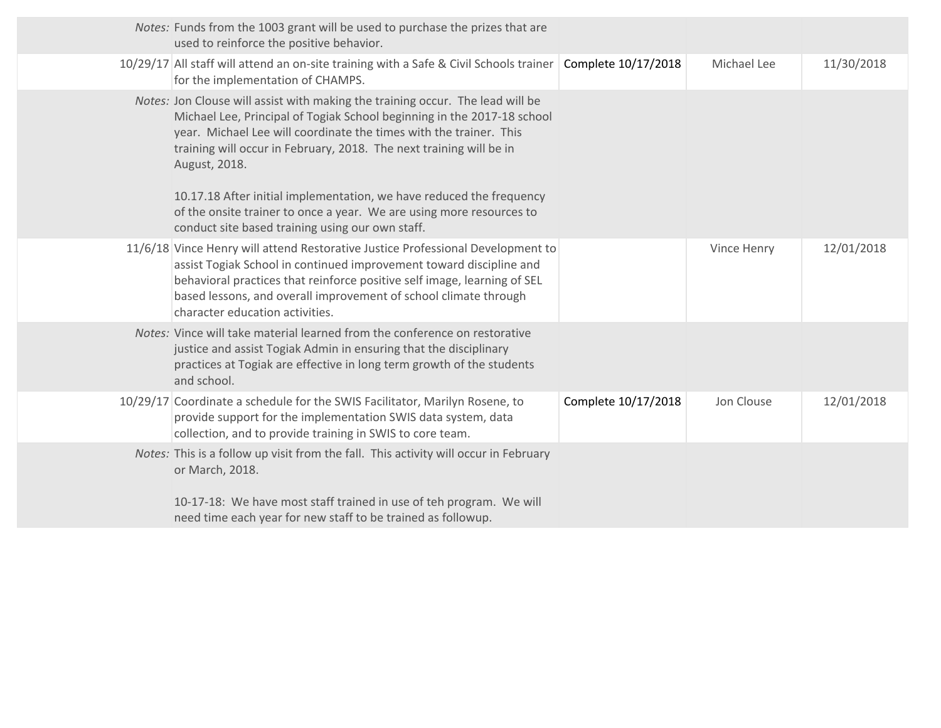| Notes: Funds from the 1003 grant will be used to purchase the prizes that are<br>used to reinforce the positive behavior.                                                                                                                                                                                                                                                                                                                                               |                     |             |            |
|-------------------------------------------------------------------------------------------------------------------------------------------------------------------------------------------------------------------------------------------------------------------------------------------------------------------------------------------------------------------------------------------------------------------------------------------------------------------------|---------------------|-------------|------------|
| 10/29/17 All staff will attend an on-site training with a Safe & Civil Schools trainer   Complete 10/17/2018<br>for the implementation of CHAMPS.                                                                                                                                                                                                                                                                                                                       |                     | Michael Lee | 11/30/2018 |
| Notes: Jon Clouse will assist with making the training occur. The lead will be<br>Michael Lee, Principal of Togiak School beginning in the 2017-18 school<br>year. Michael Lee will coordinate the times with the trainer. This<br>training will occur in February, 2018. The next training will be in<br>August, 2018.<br>10.17.18 After initial implementation, we have reduced the frequency<br>of the onsite trainer to once a year. We are using more resources to |                     |             |            |
| conduct site based training using our own staff.                                                                                                                                                                                                                                                                                                                                                                                                                        |                     |             |            |
| 11/6/18 Vince Henry will attend Restorative Justice Professional Development to<br>assist Togiak School in continued improvement toward discipline and<br>behavioral practices that reinforce positive self image, learning of SEL<br>based lessons, and overall improvement of school climate through<br>character education activities.                                                                                                                               |                     | Vince Henry | 12/01/2018 |
| Notes: Vince will take material learned from the conference on restorative<br>justice and assist Togiak Admin in ensuring that the disciplinary<br>practices at Togiak are effective in long term growth of the students<br>and school.                                                                                                                                                                                                                                 |                     |             |            |
| 10/29/17 Coordinate a schedule for the SWIS Facilitator, Marilyn Rosene, to<br>provide support for the implementation SWIS data system, data<br>collection, and to provide training in SWIS to core team.                                                                                                                                                                                                                                                               | Complete 10/17/2018 | Jon Clouse  | 12/01/2018 |
| Notes: This is a follow up visit from the fall. This activity will occur in February<br>or March, 2018.<br>10-17-18: We have most staff trained in use of teh program. We will                                                                                                                                                                                                                                                                                          |                     |             |            |
| need time each year for new staff to be trained as followup.                                                                                                                                                                                                                                                                                                                                                                                                            |                     |             |            |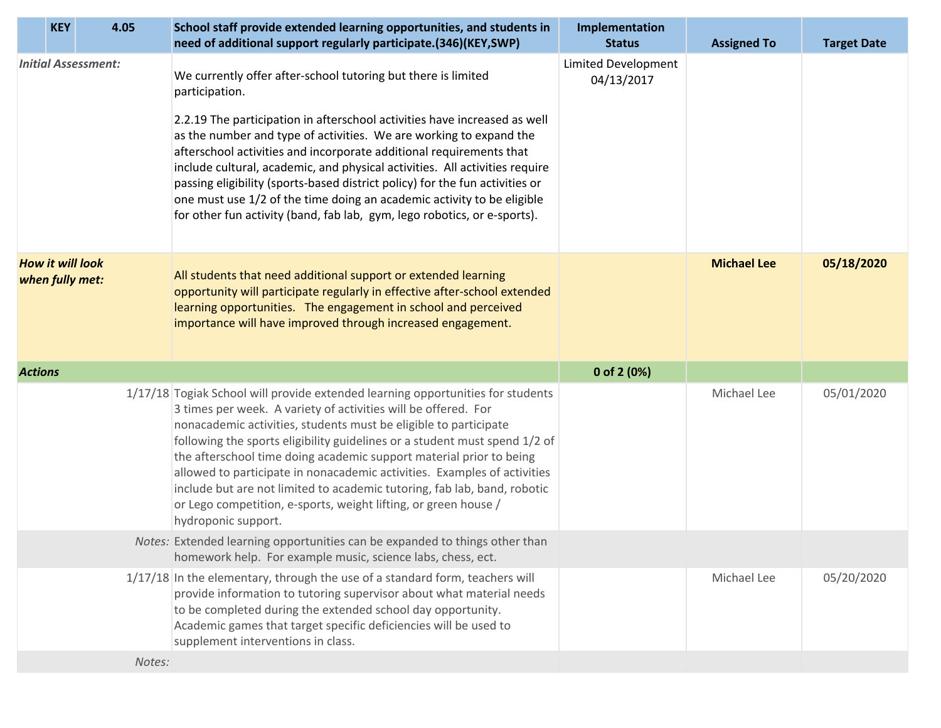| <b>KEY</b>                                 | 4.05 | School staff provide extended learning opportunities, and students in<br>need of additional support regularly participate.(346)(KEY,SWP)                                                                                                                                                                                                                                                                                                                                                                                                                                                                                     | Implementation<br><b>Status</b>          | <b>Assigned To</b> | <b>Target Date</b> |
|--------------------------------------------|------|------------------------------------------------------------------------------------------------------------------------------------------------------------------------------------------------------------------------------------------------------------------------------------------------------------------------------------------------------------------------------------------------------------------------------------------------------------------------------------------------------------------------------------------------------------------------------------------------------------------------------|------------------------------------------|--------------------|--------------------|
| <b>Initial Assessment:</b>                 |      | We currently offer after-school tutoring but there is limited<br>participation.                                                                                                                                                                                                                                                                                                                                                                                                                                                                                                                                              | <b>Limited Development</b><br>04/13/2017 |                    |                    |
|                                            |      | 2.2.19 The participation in afterschool activities have increased as well<br>as the number and type of activities. We are working to expand the<br>afterschool activities and incorporate additional requirements that<br>include cultural, academic, and physical activities. All activities require<br>passing eligibility (sports-based district policy) for the fun activities or<br>one must use 1/2 of the time doing an academic activity to be eligible<br>for other fun activity (band, fab lab, gym, lego robotics, or e-sports).                                                                                  |                                          |                    |                    |
| <b>How it will look</b><br>when fully met: |      | All students that need additional support or extended learning<br>opportunity will participate regularly in effective after-school extended<br>learning opportunities. The engagement in school and perceived<br>importance will have improved through increased engagement.                                                                                                                                                                                                                                                                                                                                                 |                                          | <b>Michael Lee</b> | 05/18/2020         |
|                                            |      |                                                                                                                                                                                                                                                                                                                                                                                                                                                                                                                                                                                                                              |                                          |                    |                    |
| <b>Actions</b>                             |      |                                                                                                                                                                                                                                                                                                                                                                                                                                                                                                                                                                                                                              | 0 of 2 (0%)                              |                    |                    |
|                                            |      | 1/17/18 Togiak School will provide extended learning opportunities for students<br>3 times per week. A variety of activities will be offered. For<br>nonacademic activities, students must be eligible to participate<br>following the sports eligibility guidelines or a student must spend 1/2 of<br>the afterschool time doing academic support material prior to being<br>allowed to participate in nonacademic activities. Examples of activities<br>include but are not limited to academic tutoring, fab lab, band, robotic<br>or Lego competition, e-sports, weight lifting, or green house /<br>hydroponic support. |                                          | Michael Lee        | 05/01/2020         |
|                                            |      | Notes: Extended learning opportunities can be expanded to things other than<br>homework help. For example music, science labs, chess, ect.                                                                                                                                                                                                                                                                                                                                                                                                                                                                                   |                                          |                    |                    |
|                                            |      | 1/17/18 In the elementary, through the use of a standard form, teachers will<br>provide information to tutoring supervisor about what material needs<br>to be completed during the extended school day opportunity.<br>Academic games that target specific deficiencies will be used to<br>supplement interventions in class.                                                                                                                                                                                                                                                                                                |                                          | Michael Lee        | 05/20/2020         |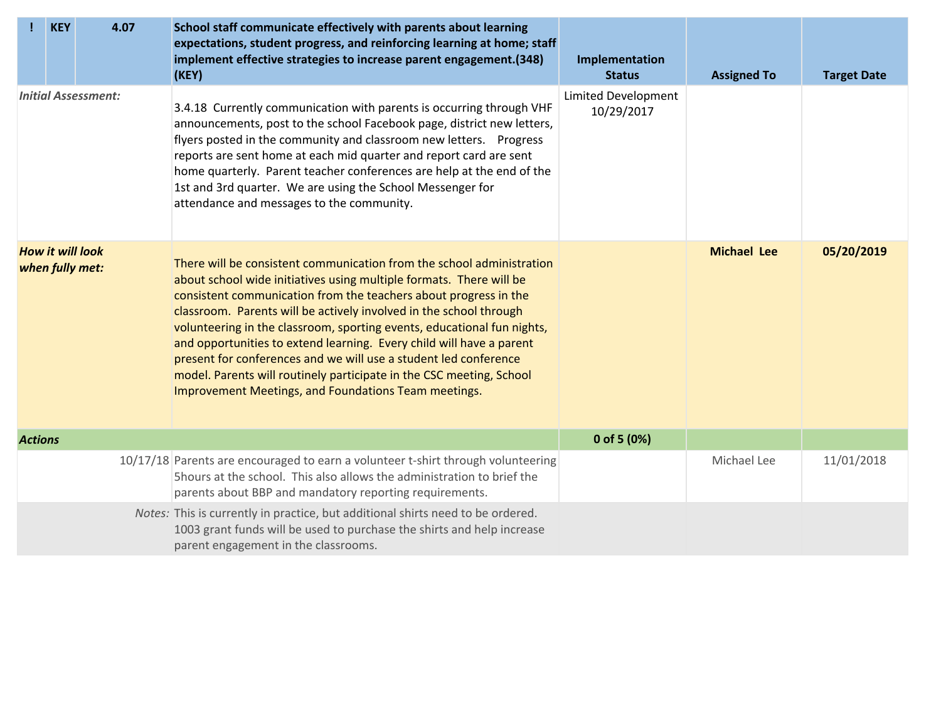|                            | <b>KEY</b> | 4.07                                       | School staff communicate effectively with parents about learning<br>expectations, student progress, and reinforcing learning at home; staff<br>implement effective strategies to increase parent engagement.(348)<br>(KEY)                                                                                                                                                                                                                                                                                                                                                                                                                    | Implementation<br><b>Status</b>   | <b>Assigned To</b> | <b>Target Date</b> |
|----------------------------|------------|--------------------------------------------|-----------------------------------------------------------------------------------------------------------------------------------------------------------------------------------------------------------------------------------------------------------------------------------------------------------------------------------------------------------------------------------------------------------------------------------------------------------------------------------------------------------------------------------------------------------------------------------------------------------------------------------------------|-----------------------------------|--------------------|--------------------|
| <b>Initial Assessment:</b> |            |                                            | 3.4.18 Currently communication with parents is occurring through VHF<br>announcements, post to the school Facebook page, district new letters,<br>flyers posted in the community and classroom new letters. Progress<br>reports are sent home at each mid quarter and report card are sent<br>home quarterly. Parent teacher conferences are help at the end of the<br>1st and 3rd quarter. We are using the School Messenger for<br>attendance and messages to the community.                                                                                                                                                                | Limited Development<br>10/29/2017 |                    |                    |
|                            |            | <b>How it will look</b><br>when fully met: | There will be consistent communication from the school administration<br>about school wide initiatives using multiple formats. There will be<br>consistent communication from the teachers about progress in the<br>classroom. Parents will be actively involved in the school through<br>volunteering in the classroom, sporting events, educational fun nights,<br>and opportunities to extend learning. Every child will have a parent<br>present for conferences and we will use a student led conference<br>model. Parents will routinely participate in the CSC meeting, School<br>Improvement Meetings, and Foundations Team meetings. |                                   | <b>Michael Lee</b> | 05/20/2019         |
| <b>Actions</b>             |            |                                            |                                                                                                                                                                                                                                                                                                                                                                                                                                                                                                                                                                                                                                               | 0 of 5 $(0%)$                     |                    |                    |
|                            |            |                                            | 10/17/18 Parents are encouraged to earn a volunteer t-shirt through volunteering<br>5hours at the school. This also allows the administration to brief the<br>parents about BBP and mandatory reporting requirements.                                                                                                                                                                                                                                                                                                                                                                                                                         |                                   | Michael Lee        | 11/01/2018         |
|                            |            |                                            | Notes: This is currently in practice, but additional shirts need to be ordered.<br>1003 grant funds will be used to purchase the shirts and help increase<br>parent engagement in the classrooms.                                                                                                                                                                                                                                                                                                                                                                                                                                             |                                   |                    |                    |